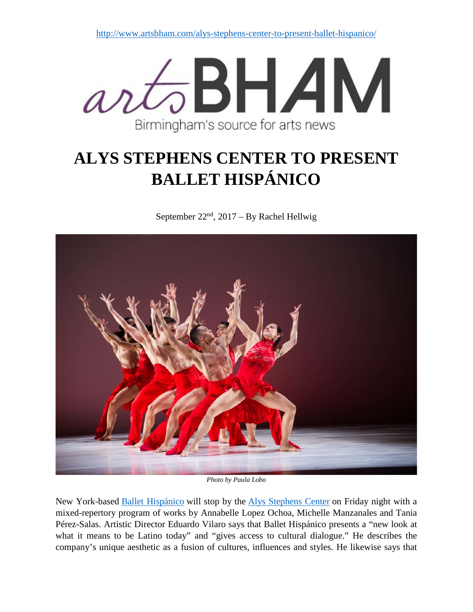

## **ALYS STEPHENS CENTER TO PRESENT BALLET HISPÁNICO**

September  $22<sup>nd</sup>$ ,  $2017 - By Rachel Hellwig$ 



*Photo by Paula Lobo*

New York-based [Ballet Hispánico](https://ballethispanico.wordpress.com/) will stop by the [Alys Stephens Center](https://www.alysstephens.org/) on Friday night with a mixed-repertory program of works by Annabelle Lopez Ochoa, Michelle Manzanales and Tania Pérez-Salas. Artistic Director Eduardo Vilaro says that Ballet Hispánico presents a "new look at what it means to be Latino today" and "gives access to cultural dialogue." He describes the company's unique aesthetic as a fusion of cultures, influences and styles. He likewise says that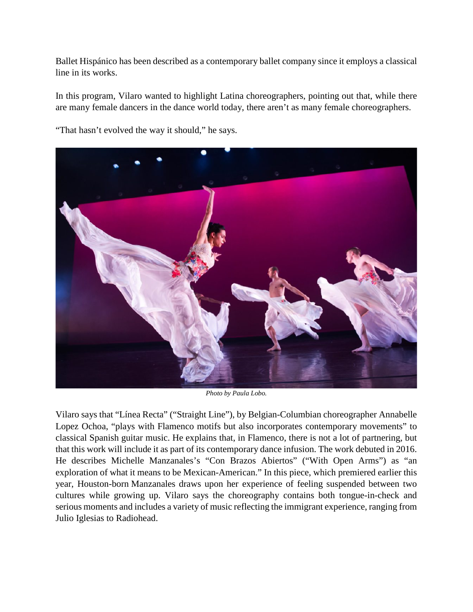Ballet Hispánico has been described as a contemporary ballet company since it employs a classical line in its works.

In this program, Vilaro wanted to highlight Latina choreographers, pointing out that, while there are many female dancers in the dance world today, there aren't as many female choreographers.



"That hasn't evolved the way it should," he says.

*Photo by Paula Lobo.*

Vilaro says that "Línea Recta" ("Straight Line"), by Belgian-Columbian choreographer Annabelle Lopez Ochoa, "plays with Flamenco motifs but also incorporates contemporary movements" to classical Spanish guitar music. He explains that, in Flamenco, there is not a lot of partnering, but that this work will include it as part of its contemporary dance infusion. The work debuted in 2016. He describes Michelle Manzanales's "Con Brazos Abiertos" ("With Open Arms") as "an exploration of what it means to be Mexican-American." In this piece, which premiered earlier this year, Houston-born Manzanales draws upon her experience of feeling suspended between two cultures while growing up. Vilaro says the choreography contains both tongue-in-check and serious moments and includes a variety of music reflecting the immigrant experience, ranging from Julio Iglesias to Radiohead.